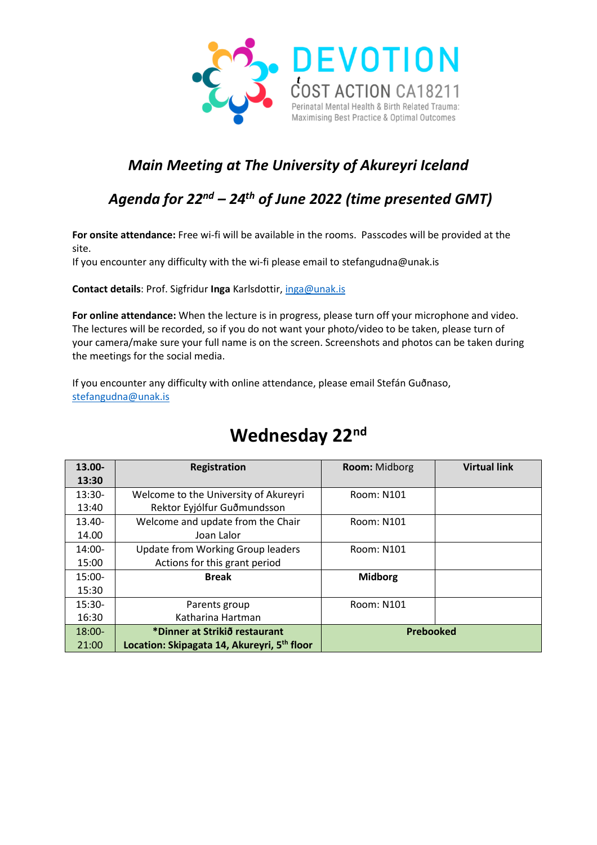

#### *Main Meeting at The University of Akureyri Iceland*

### *Agenda for 22nd – 24th of June 2022 (time presented GMT)*

**For onsite attendance:** Free wi-fi will be available in the rooms. Passcodes will be provided at the site.

If you encounter any difficulty with the wi-fi please email to stefangudna@unak.is

**Contact details**: Prof. Sigfridur **Inga** Karlsdottir, [inga@unak.is](mailto:inga@unak.is)

**For online attendance:** When the lecture is in progress, please turn off your microphone and video. The lectures will be recorded, so if you do not want your photo/video to be taken, please turn of your camera/make sure your full name is on the screen. Screenshots and photos can be taken during the meetings for the social media.

If you encounter any difficulty with online attendance, please email Stefán Guðnaso, [stefangudna@unak.is](mailto:stefangudna@unak.is)

| 13.00-    | Registration                                | <b>Room:</b> Midborg | <b>Virtual link</b> |
|-----------|---------------------------------------------|----------------------|---------------------|
| 13:30     |                                             |                      |                     |
| $13:30-$  | Welcome to the University of Akureyri       | Room: N101           |                     |
| 13:40     | Rektor Eyjólfur Guðmundsson                 |                      |                     |
| $13.40 -$ | Welcome and update from the Chair           | <b>Room: N101</b>    |                     |
| 14.00     | Joan Lalor                                  |                      |                     |
| $14:00-$  | <b>Update from Working Group leaders</b>    | Room: N101           |                     |
| 15:00     | Actions for this grant period               |                      |                     |
| $15:00-$  | <b>Break</b>                                | <b>Midborg</b>       |                     |
| 15:30     |                                             |                      |                     |
| $15:30-$  | Parents group                               | <b>Room: N101</b>    |                     |
| 16:30     | Katharina Hartman                           |                      |                     |
| 18:00-    | *Dinner at Strikið restaurant               | Prebooked            |                     |
| 21:00     | Location: Skipagata 14, Akureyri, 5th floor |                      |                     |

## **Wednesday 22nd**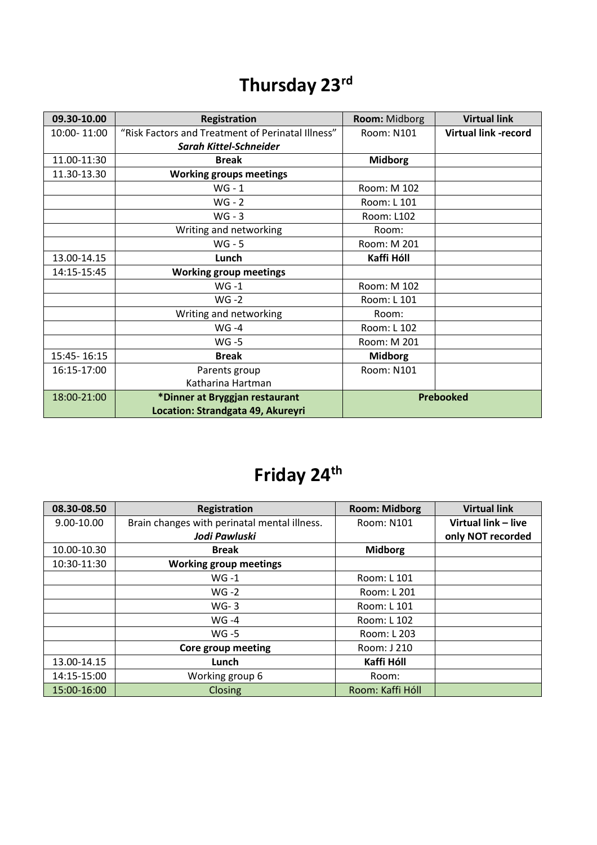## **Thursday 23rd**

| 09.30-10.00 | <b>Registration</b>                               | Room: Midborg    | <b>Virtual link</b>         |
|-------------|---------------------------------------------------|------------------|-----------------------------|
| 10:00-11:00 | "Risk Factors and Treatment of Perinatal Illness" | Room: N101       | <b>Virtual link -record</b> |
|             | <b>Sarah Kittel-Schneider</b>                     |                  |                             |
| 11.00-11:30 | <b>Break</b>                                      | <b>Midborg</b>   |                             |
| 11.30-13.30 | <b>Working groups meetings</b>                    |                  |                             |
|             | $WG - 1$                                          | Room: M 102      |                             |
|             | $WG - 2$                                          | Room: L 101      |                             |
|             | $WG - 3$                                          | Room: L102       |                             |
|             | Writing and networking                            | Room:            |                             |
|             | $WG - 5$                                          | Room: M 201      |                             |
| 13.00-14.15 | Lunch                                             | Kaffi Hóll       |                             |
| 14:15-15:45 | <b>Working group meetings</b>                     |                  |                             |
|             | $WG -1$                                           | Room: M 102      |                             |
|             | $WG -2$                                           | Room: L 101      |                             |
|             | Writing and networking                            | Room:            |                             |
|             | $WG -4$                                           | Room: L 102      |                             |
|             | <b>WG-5</b>                                       | Room: M 201      |                             |
| 15:45-16:15 | <b>Break</b>                                      | <b>Midborg</b>   |                             |
| 16:15-17:00 | Parents group                                     | Room: N101       |                             |
|             | Katharina Hartman                                 |                  |                             |
| 18:00-21:00 | *Dinner at Bryggjan restaurant                    | <b>Prebooked</b> |                             |
|             | Location: Strandgata 49, Akureyri                 |                  |                             |

# **Friday 24th**

| 08.30-08.50 | Registration                                 | <b>Room: Midborg</b> | <b>Virtual link</b> |
|-------------|----------------------------------------------|----------------------|---------------------|
| 9.00-10.00  | Brain changes with perinatal mental illness. | Room: N101           | Virtual link - live |
|             | Jodi Pawluski                                |                      | only NOT recorded   |
| 10.00-10.30 | <b>Break</b>                                 | <b>Midborg</b>       |                     |
| 10:30-11:30 | <b>Working group meetings</b>                |                      |                     |
|             | $WG -1$                                      | Room: L 101          |                     |
|             | $WG -2$                                      | Room: L 201          |                     |
|             | $WG-3$                                       | Room: L 101          |                     |
|             | $WG -4$                                      | Room: L 102          |                     |
|             | WG -5                                        | Room: L 203          |                     |
|             | Core group meeting                           | Room: J 210          |                     |
| 13.00-14.15 | Lunch                                        | Kaffi Hóll           |                     |
| 14:15-15:00 | Working group 6                              | Room:                |                     |
| 15:00-16:00 | Closing                                      | Room: Kaffi Hóll     |                     |